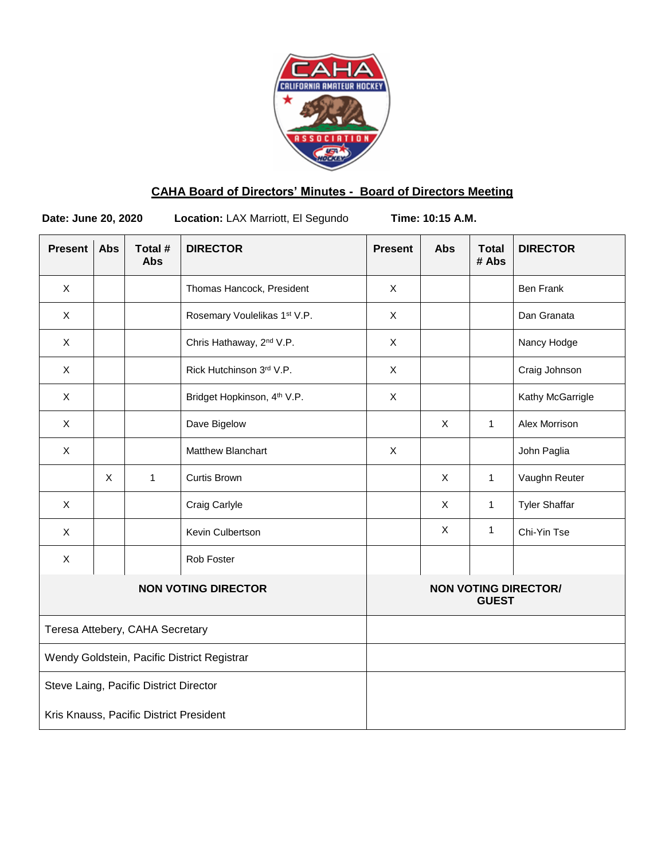

# **CAHA Board of Directors' Minutes - Board of Directors Meeting**

**Date: June 20, 2020 Location:** LAX Marriott, El Segundo **Time: 10:15 A.M.**

| <b>Present</b>                              | <b>Abs</b> | Total #<br><b>Abs</b> | <b>DIRECTOR</b>                         | <b>Present</b>                              | <b>Abs</b> | <b>Total</b><br># Abs | <b>DIRECTOR</b>      |
|---------------------------------------------|------------|-----------------------|-----------------------------------------|---------------------------------------------|------------|-----------------------|----------------------|
| X                                           |            |                       | Thomas Hancock, President               | X                                           |            |                       | <b>Ben Frank</b>     |
| $\mathsf X$                                 |            |                       | Rosemary Voulelikas 1st V.P.            | $\mathsf X$                                 |            |                       | Dan Granata          |
| $\mathsf{X}$                                |            |                       | Chris Hathaway, 2 <sup>nd</sup> V.P.    | X                                           |            |                       | Nancy Hodge          |
| X                                           |            |                       | Rick Hutchinson 3rd V.P.                | X                                           |            |                       | Craig Johnson        |
| X                                           |            |                       | Bridget Hopkinson, 4 <sup>th</sup> V.P. | $\mathsf{X}$                                |            |                       | Kathy McGarrigle     |
| X                                           |            |                       | Dave Bigelow                            |                                             | X          | $\mathbf{1}$          | Alex Morrison        |
| X                                           |            |                       | Matthew Blanchart                       | X                                           |            |                       | John Paglia          |
|                                             | X          | $\mathbf{1}$          | <b>Curtis Brown</b>                     |                                             | X          | $\mathbf{1}$          | Vaughn Reuter        |
| $\mathsf{X}$                                |            |                       | Craig Carlyle                           |                                             | X          | $\mathbf{1}$          | <b>Tyler Shaffar</b> |
| X                                           |            |                       | Kevin Culbertson                        |                                             | X          | 1                     | Chi-Yin Tse          |
| X                                           |            |                       | Rob Foster                              |                                             |            |                       |                      |
| <b>NON VOTING DIRECTOR</b>                  |            |                       |                                         | <b>NON VOTING DIRECTOR/</b><br><b>GUEST</b> |            |                       |                      |
| Teresa Attebery, CAHA Secretary             |            |                       |                                         |                                             |            |                       |                      |
| Wendy Goldstein, Pacific District Registrar |            |                       |                                         |                                             |            |                       |                      |
| Steve Laing, Pacific District Director      |            |                       |                                         |                                             |            |                       |                      |
| Kris Knauss, Pacific District President     |            |                       |                                         |                                             |            |                       |                      |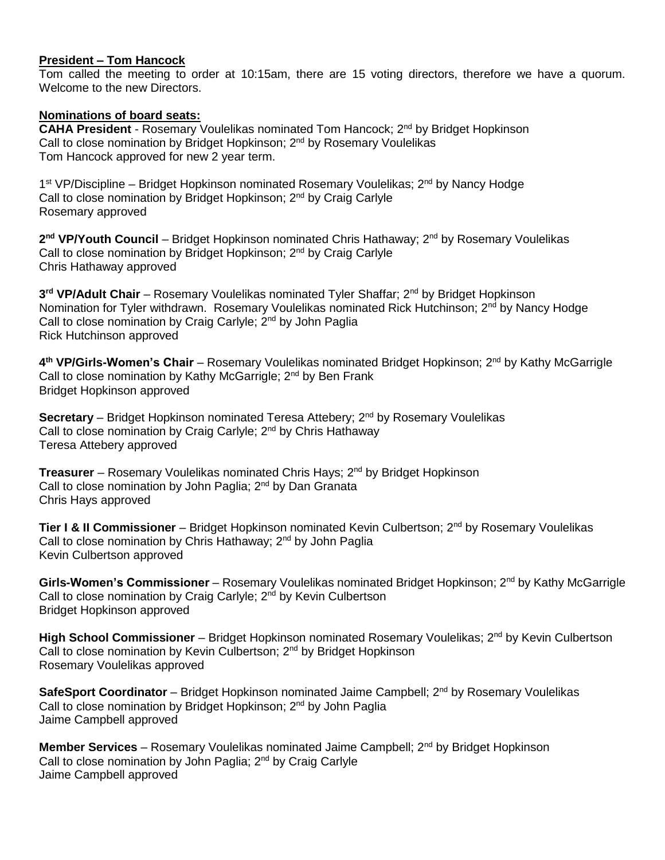# **President – Tom Hancock**

Tom called the meeting to order at 10:15am, there are 15 voting directors, therefore we have a quorum. Welcome to the new Directors.

## **Nominations of board seats:**

**CAHA President** - Rosemary Voulelikas nominated Tom Hancock; 2<sup>nd</sup> by Bridget Hopkinson Call to close nomination by Bridget Hopkinson; 2<sup>nd</sup> by Rosemary Voulelikas Tom Hancock approved for new 2 year term.

1<sup>st</sup> VP/Discipline – Bridget Hopkinson nominated Rosemary Voulelikas; 2<sup>nd</sup> by Nancy Hodge Call to close nomination by Bridget Hopkinson; 2<sup>nd</sup> by Craig Carlyle Rosemary approved

2<sup>nd</sup> VP/Youth Council – Bridget Hopkinson nominated Chris Hathaway; 2<sup>nd</sup> by Rosemary Voulelikas Call to close nomination by Bridget Hopkinson; 2<sup>nd</sup> by Craig Carlyle Chris Hathaway approved

**3 rd VP/Adult Chair** – Rosemary Voulelikas nominated Tyler Shaffar; 2nd by Bridget Hopkinson Nomination for Tyler withdrawn. Rosemary Voulelikas nominated Rick Hutchinson; 2<sup>nd</sup> by Nancy Hodge Call to close nomination by Craig Carlyle; 2<sup>nd</sup> by John Paglia Rick Hutchinson approved

**4 th VP/Girls-Women's Chair** – Rosemary Voulelikas nominated Bridget Hopkinson; 2nd by Kathy McGarrigle Call to close nomination by Kathy McGarrigle; 2<sup>nd</sup> by Ben Frank Bridget Hopkinson approved

**Secretary** – Bridget Hopkinson nominated Teresa Attebery; 2<sup>nd</sup> by Rosemary Voulelikas Call to close nomination by Craig Carlyle; 2<sup>nd</sup> by Chris Hathaway Teresa Attebery approved

**Treasurer** – Rosemary Voulelikas nominated Chris Hays; 2<sup>nd</sup> by Bridget Hopkinson Call to close nomination by John Paglia; 2<sup>nd</sup> by Dan Granata Chris Hays approved

**Tier I & II Commissioner** – Bridget Hopkinson nominated Kevin Culbertson; 2<sup>nd</sup> by Rosemary Voulelikas Call to close nomination by Chris Hathaway; 2<sup>nd</sup> by John Paglia Kevin Culbertson approved

Girls-Women's Commissioner – Rosemary Voulelikas nominated Bridget Hopkinson; 2<sup>nd</sup> by Kathy McGarrigle Call to close nomination by Craig Carlyle; 2<sup>nd</sup> by Kevin Culbertson Bridget Hopkinson approved

**High School Commissioner** – Bridget Hopkinson nominated Rosemary Voulelikas; 2<sup>nd</sup> by Kevin Culbertson Call to close nomination by Kevin Culbertson; 2<sup>nd</sup> by Bridget Hopkinson Rosemary Voulelikas approved

**SafeSport Coordinator** – Bridget Hopkinson nominated Jaime Campbell; 2<sup>nd</sup> by Rosemary Voulelikas Call to close nomination by Bridget Hopkinson; 2<sup>nd</sup> by John Paglia Jaime Campbell approved

**Member Services** – Rosemary Voulelikas nominated Jaime Campbell; 2<sup>nd</sup> by Bridget Hopkinson Call to close nomination by John Paglia; 2<sup>nd</sup> by Craig Carlyle Jaime Campbell approved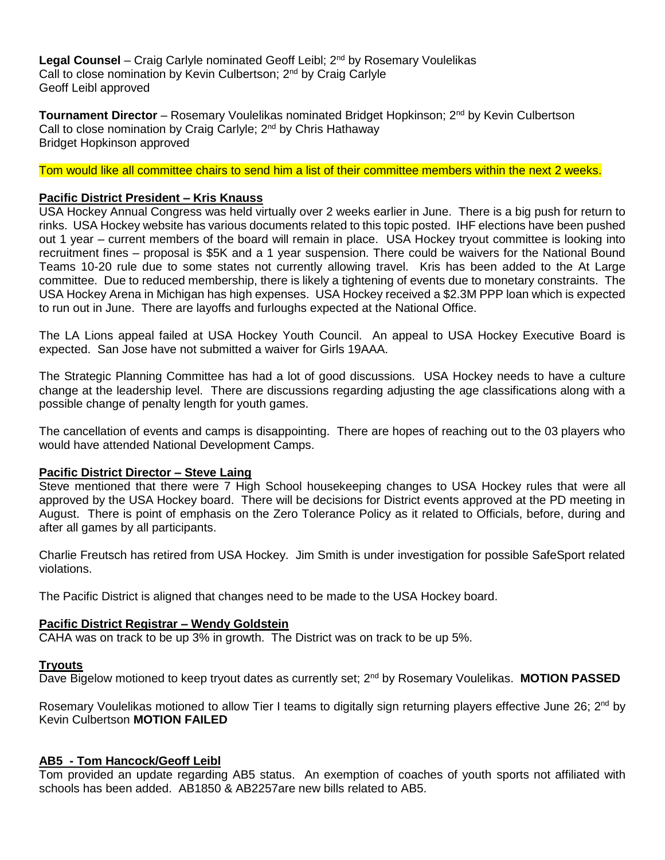Legal Counsel – Craig Carlyle nominated Geoff Leibl; 2<sup>nd</sup> by Rosemary Voulelikas Call to close nomination by Kevin Culbertson: 2<sup>nd</sup> by Craig Carlyle Geoff Leibl approved

**Tournament Director** – Rosemary Voulelikas nominated Bridget Hopkinson; 2<sup>nd</sup> by Kevin Culbertson Call to close nomination by Craig Carlyle; 2<sup>nd</sup> by Chris Hathaway Bridget Hopkinson approved

Tom would like all committee chairs to send him a list of their committee members within the next 2 weeks.

# **Pacific District President – Kris Knauss**

USA Hockey Annual Congress was held virtually over 2 weeks earlier in June. There is a big push for return to rinks. USA Hockey website has various documents related to this topic posted. IHF elections have been pushed out 1 year – current members of the board will remain in place. USA Hockey tryout committee is looking into recruitment fines – proposal is \$5K and a 1 year suspension. There could be waivers for the National Bound Teams 10-20 rule due to some states not currently allowing travel. Kris has been added to the At Large committee. Due to reduced membership, there is likely a tightening of events due to monetary constraints. The USA Hockey Arena in Michigan has high expenses. USA Hockey received a \$2.3M PPP loan which is expected to run out in June. There are layoffs and furloughs expected at the National Office.

The LA Lions appeal failed at USA Hockey Youth Council. An appeal to USA Hockey Executive Board is expected. San Jose have not submitted a waiver for Girls 19AAA.

The Strategic Planning Committee has had a lot of good discussions. USA Hockey needs to have a culture change at the leadership level. There are discussions regarding adjusting the age classifications along with a possible change of penalty length for youth games.

The cancellation of events and camps is disappointing. There are hopes of reaching out to the 03 players who would have attended National Development Camps.

#### **Pacific District Director – Steve Laing**

Steve mentioned that there were 7 High School housekeeping changes to USA Hockey rules that were all approved by the USA Hockey board. There will be decisions for District events approved at the PD meeting in August. There is point of emphasis on the Zero Tolerance Policy as it related to Officials, before, during and after all games by all participants.

Charlie Freutsch has retired from USA Hockey. Jim Smith is under investigation for possible SafeSport related violations.

The Pacific District is aligned that changes need to be made to the USA Hockey board.

# **Pacific District Registrar – Wendy Goldstein**

CAHA was on track to be up 3% in growth. The District was on track to be up 5%.

#### **Tryouts**

Dave Bigelow motioned to keep tryout dates as currently set; 2nd by Rosemary Voulelikas. **MOTION PASSED**

Rosemary Voulelikas motioned to allow Tier I teams to digitally sign returning players effective June 26; 2<sup>nd</sup> by Kevin Culbertson **MOTION FAILED**

#### **AB5 - Tom Hancock/Geoff Leibl**

Tom provided an update regarding AB5 status. An exemption of coaches of youth sports not affiliated with schools has been added. AB1850 & AB2257are new bills related to AB5.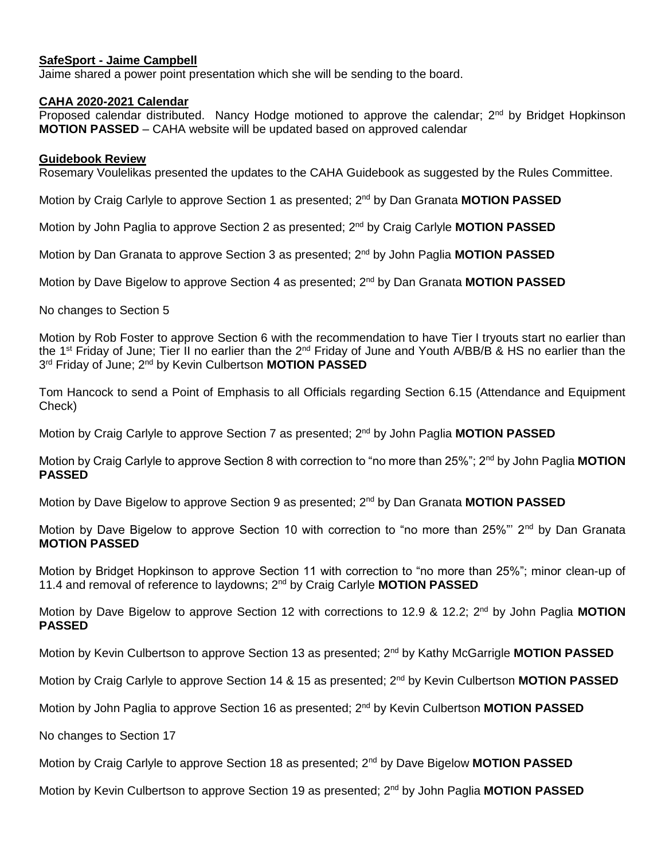## **SafeSport - Jaime Campbell**

Jaime shared a power point presentation which she will be sending to the board.

#### **CAHA 2020-2021 Calendar**

Proposed calendar distributed. Nancy Hodge motioned to approve the calendar;  $2^{nd}$  by Bridget Hopkinson **MOTION PASSED** – CAHA website will be updated based on approved calendar

## **Guidebook Review**

Rosemary Voulelikas presented the updates to the CAHA Guidebook as suggested by the Rules Committee.

Motion by Craig Carlyle to approve Section 1 as presented; 2nd by Dan Granata **MOTION PASSED**

Motion by John Paglia to approve Section 2 as presented; 2nd by Craig Carlyle **MOTION PASSED**

Motion by Dan Granata to approve Section 3 as presented; 2nd by John Paglia **MOTION PASSED**

Motion by Dave Bigelow to approve Section 4 as presented; 2nd by Dan Granata **MOTION PASSED**

No changes to Section 5

Motion by Rob Foster to approve Section 6 with the recommendation to have Tier I tryouts start no earlier than the 1<sup>st</sup> Friday of June; Tier II no earlier than the 2<sup>nd</sup> Friday of June and Youth A/BB/B & HS no earlier than the 3 rd Friday of June; 2nd by Kevin Culbertson **MOTION PASSED**

Tom Hancock to send a Point of Emphasis to all Officials regarding Section 6.15 (Attendance and Equipment Check)

Motion by Craig Carlyle to approve Section 7 as presented; 2nd by John Paglia **MOTION PASSED**

Motion by Craig Carlyle to approve Section 8 with correction to "no more than 25%"; 2nd by John Paglia **MOTION PASSED**

Motion by Dave Bigelow to approve Section 9 as presented; 2nd by Dan Granata **MOTION PASSED**

Motion by Dave Bigelow to approve Section 10 with correction to "no more than 25%"' 2<sup>nd</sup> by Dan Granata **MOTION PASSED**

Motion by Bridget Hopkinson to approve Section 11 with correction to "no more than 25%"; minor clean-up of 11.4 and removal of reference to laydowns; 2nd by Craig Carlyle **MOTION PASSED**

Motion by Dave Bigelow to approve Section 12 with corrections to 12.9 & 12.2; 2<sup>nd</sup> by John Paglia MOTION **PASSED**

Motion by Kevin Culbertson to approve Section 13 as presented; 2nd by Kathy McGarrigle **MOTION PASSED**

Motion by Craig Carlyle to approve Section 14 & 15 as presented; 2nd by Kevin Culbertson **MOTION PASSED**

Motion by John Paglia to approve Section 16 as presented; 2nd by Kevin Culbertson **MOTION PASSED**

No changes to Section 17

Motion by Craig Carlyle to approve Section 18 as presented; 2nd by Dave Bigelow **MOTION PASSED**

Motion by Kevin Culbertson to approve Section 19 as presented; 2<sup>nd</sup> by John Paglia **MOTION PASSED**